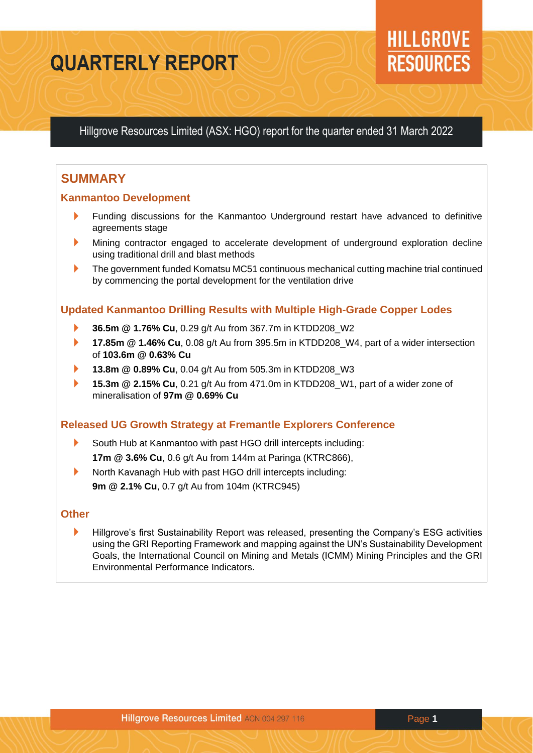# **QUARTERLY REPORT**

# **HILLGROVE RESOURCES**

Hillgrove Resources Limited (ASX: HGO) report for the quarter ended 31 March 2022

# **SUMMARY**

## **Kanmantoo Development**

- Funding discussions for the Kanmantoo Underground restart have advanced to definitive agreements stage
- Mining contractor engaged to accelerate development of underground exploration decline using traditional drill and blast methods
- The government funded Komatsu MC51 continuous mechanical cutting machine trial continued by commencing the portal development for the ventilation drive

## **Updated Kanmantoo Drilling Results with Multiple High-Grade Copper Lodes**

- **36.5m @ 1.76% Cu**, 0.29 g/t Au from 367.7m in KTDD208\_W2
- **17.85m @ 1.46% Cu, 0.08 g/t Au from 395.5m in KTDD208\_W4, part of a wider intersection** of **103.6m @ 0.63% Cu**
- **13.8m @ 0.89% Cu**, 0.04 g/t Au from 505.3m in KTDD208\_W3
- **15.3m @ 2.15% Cu**, 0.21 g/t Au from 471.0m in KTDD208 W1, part of a wider zone of mineralisation of **97m @ 0.69% Cu**

## **Released UG Growth Strategy at Fremantle Explorers Conference**

- South Hub at Kanmantoo with past HGO drill intercepts including: **17m @ 3.6% Cu**, 0.6 g/t Au from 144m at Paringa (KTRC866),
- North Kavanagh Hub with past HGO drill intercepts including: **9m @ 2.1% Cu**, 0.7 g/t Au from 104m (KTRC945)

## **Other**

**Hillgrove's first Sustainability Report was released, presenting the Company's ESG activities** using the GRI Reporting Framework and mapping against the UN's Sustainability Development Goals, the International Council on Mining and Metals (ICMM) Mining Principles and the GRI Environmental Performance Indicators.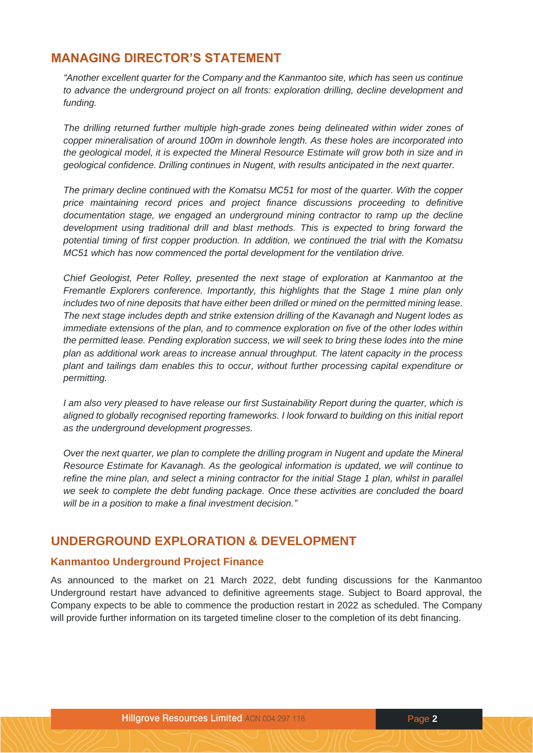# **MANAGING DIRECTOR'S STATEMENT**

*"Another excellent quarter for the Company and the Kanmantoo site, which has seen us continue to advance the underground project on all fronts: exploration drilling, decline development and funding.*

*The drilling returned further multiple high-grade zones being delineated within wider zones of copper mineralisation of around 100m in downhole length. As these holes are incorporated into the geological model, it is expected the Mineral Resource Estimate will grow both in size and in geological confidence. Drilling continues in Nugent, with results anticipated in the next quarter.* 

*The primary decline continued with the Komatsu MC51 for most of the quarter. With the copper price maintaining record prices and project finance discussions proceeding to definitive documentation stage, we engaged an underground mining contractor to ramp up the decline development using traditional drill and blast methods. This is expected to bring forward the potential timing of first copper production. In addition, we continued the trial with the Komatsu MC51 which has now commenced the portal development for the ventilation drive.*

*Chief Geologist, Peter Rolley, presented the next stage of exploration at Kanmantoo at the Fremantle Explorers conference. Importantly, this highlights that the Stage 1 mine plan only includes two of nine deposits that have either been drilled or mined on the permitted mining lease. The next stage includes depth and strike extension drilling of the Kavanagh and Nugent lodes as immediate extensions of the plan, and to commence exploration on five of the other lodes within the permitted lease. Pending exploration success, we will seek to bring these lodes into the mine plan as additional work areas to increase annual throughput. The latent capacity in the process plant and tailings dam enables this to occur, without further processing capital expenditure or permitting.*

*I* am also very pleased to have release our first Sustainability Report during the quarter, which is *aligned to globally recognised reporting frameworks. I look forward to building on this initial report as the underground development progresses.*

*Over the next quarter, we plan to complete the drilling program in Nugent and update the Mineral Resource Estimate for Kavanagh. As the geological information is updated, we will continue to refine the mine plan, and select a mining contractor for the initial Stage 1 plan, whilst in parallel we seek to complete the debt funding package. Once these activities are concluded the board will be in a position to make a final investment decision."* 

# **UNDERGROUND EXPLORATION & DEVELOPMENT**

#### **Kanmantoo Underground Project Finance**

As announced to the market on 21 March 2022, debt funding discussions for the Kanmantoo Underground restart have advanced to definitive agreements stage. Subject to Board approval, the Company expects to be able to commence the production restart in 2022 as scheduled. The Company will provide further information on its targeted timeline closer to the completion of its debt financing.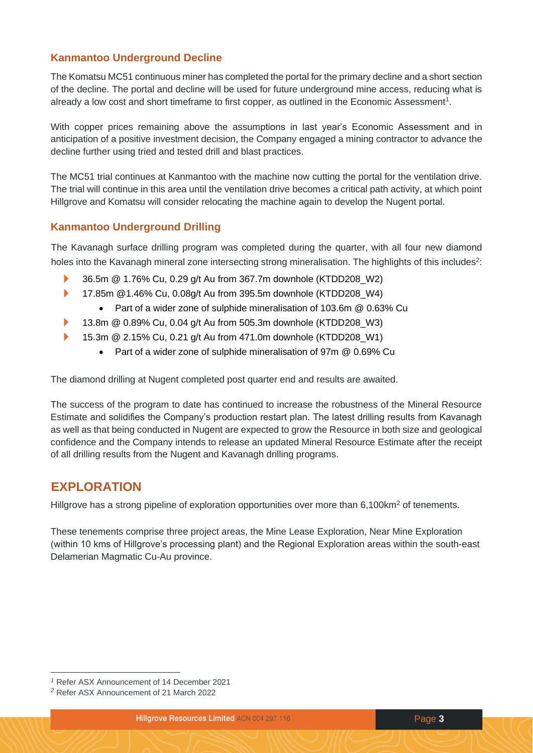# **Kanmantoo Underground Decline**

The Komatsu MC51 continuous miner has completed the portal for the primary decline and a short section of the decline. The portal and decline will be used for future underground mine access, reducing what is already a low cost and short timeframe to first copper, as outlined in the Economic Assessment<sup>1</sup>.

With copper prices remaining above the assumptions in last year's Economic Assessment and in anticipation of a positive investment decision, the Company engaged a mining contractor to advance the decline further using tried and tested drill and blast practices.

The MC51 trial continues at Kanmantoo with the machine now cutting the portal for the ventilation drive. The trial will continue in this area until the ventilation drive becomes a critical path activity, at which point Hillgrove and Komatsu will consider relocating the machine again to develop the Nugent portal.

#### **Kanmantoo Underground Drilling**

The Kavanagh surface drilling program was completed during the quarter, with all four new diamond holes into the Kavanagh mineral zone intersecting strong mineralisation. The highlights of this includes<sup>2</sup>:

- 36.5m @ 1.76% Cu, 0.29 g/t Au from 367.7m downhole (KTDD208\_W2)
- 17.85m @1.46% Cu, 0.08g/t Au from 395.5m downhole (KTDD208 W4)
	- Part of a wider zone of sulphide mineralisation of 103.6m @ 0.63% Cu
- **13.8m @ 0.89% Cu, 0.04 g/t Au from 505.3m downhole (KTDD208 W3)**
- ▶ 15.3m @ 2.15% Cu, 0.21 g/t Au from 471.0m downhole (KTDD208\_W1)
	- Part of a wider zone of sulphide mineralisation of 97m @ 0.69% Cu

The diamond drilling at Nugent completed post quarter end and results are awaited.

The success of the program to date has continued to increase the robustness of the Mineral Resource Estimate and solidifies the Company's production restart plan. The latest drilling results from Kavanagh as well as that being conducted in Nugent are expected to grow the Resource in both size and geological confidence and the Company intends to release an updated Mineral Resource Estimate after the receipt of all drilling results from the Nugent and Kavanagh drilling programs.

# **EXPLORATION**

Hillgrove has a strong pipeline of exploration opportunities over more than  $6.100 \text{km}^2$  of tenements.

These tenements comprise three project areas, the Mine Lease Exploration, Near Mine Exploration (within 10 kms of Hillgrove's processing plant) and the Regional Exploration areas within the south-east Delamerian Magmatic Cu-Au province.

*<sup>1</sup>* Refer ASX Announcement of 14 December 2021

*<sup>2</sup>* Refer ASX Announcement of 21 March 2022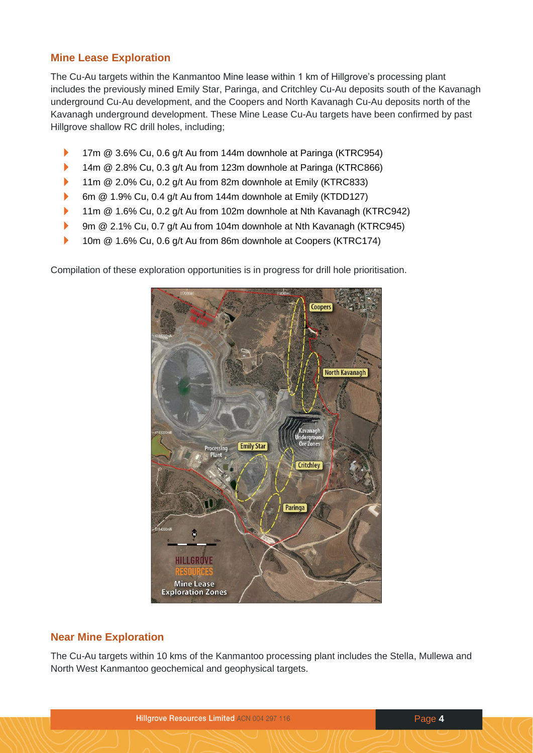## **Mine Lease Exploration**

The Cu-Au targets within the Kanmantoo Mine lease within 1 km of Hillgrove's processing plant includes the previously mined Emily Star, Paringa, and Critchley Cu-Au deposits south of the Kavanagh underground Cu-Au development, and the Coopers and North Kavanagh Cu-Au deposits north of the Kavanagh underground development. These Mine Lease Cu-Au targets have been confirmed by past Hillgrove shallow RC drill holes, including;

- ▶ 17m @ 3.6% Cu, 0.6 g/t Au from 144m downhole at Paringa (KTRC954)
- 14m @ 2.8% Cu, 0.3 g/t Au from 123m downhole at Paringa (KTRC866)
- ▶ 11m @ 2.0% Cu, 0.2 g/t Au from 82m downhole at Emily (KTRC833)
- 6m @ 1.9% Cu, 0.4 g/t Au from 144m downhole at Emily (KTDD127)
- 11m @ 1.6% Cu, 0.2 g/t Au from 102m downhole at Nth Kavanagh (KTRC942)
- ▶ 9m @ 2.1% Cu, 0.7 g/t Au from 104m downhole at Nth Kavanagh (KTRC945)
- 10m @ 1.6% Cu, 0.6 g/t Au from 86m downhole at Coopers (KTRC174)

Compilation of these exploration opportunities is in progress for drill hole prioritisation.



## **Near Mine Exploration**

The Cu-Au targets within 10 kms of the Kanmantoo processing plant includes the Stella, Mullewa and North West Kanmantoo geochemical and geophysical targets.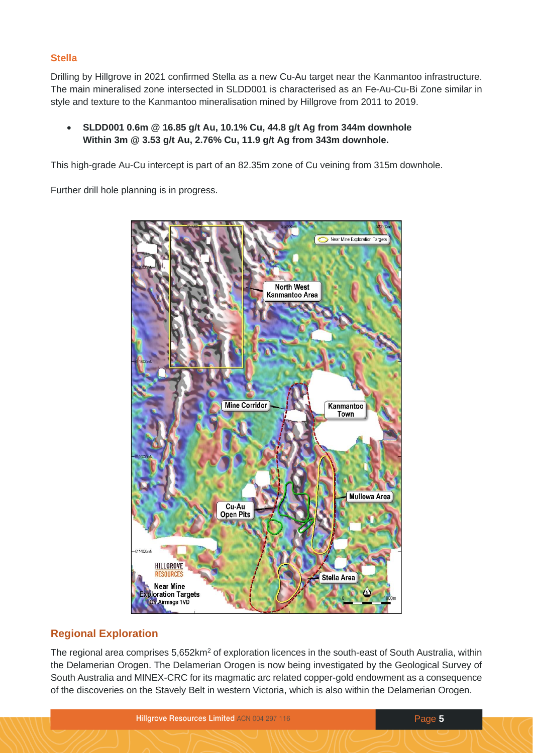#### **Stella**

Drilling by Hillgrove in 2021 confirmed Stella as a new Cu-Au target near the Kanmantoo infrastructure. The main mineralised zone intersected in SLDD001 is characterised as an Fe-Au-Cu-Bi Zone similar in style and texture to the Kanmantoo mineralisation mined by Hillgrove from 2011 to 2019.

• **SLDD001 0.6m @ 16.85 g/t Au, 10.1% Cu, 44.8 g/t Ag from 344m downhole Within 3m @ 3.53 g/t Au, 2.76% Cu, 11.9 g/t Ag from 343m downhole.**

This high-grade Au-Cu intercept is part of an 82.35m zone of Cu veining from 315m downhole.

Further drill hole planning is in progress.



## **Regional Exploration**

The regional area comprises 5,652km<sup>2</sup> of exploration licences in the south-east of South Australia, within the Delamerian Orogen. The Delamerian Orogen is now being investigated by the Geological Survey of South Australia and MINEX-CRC for its magmatic arc related copper-gold endowment as a consequence of the discoveries on the Stavely Belt in western Victoria, which is also within the Delamerian Orogen.